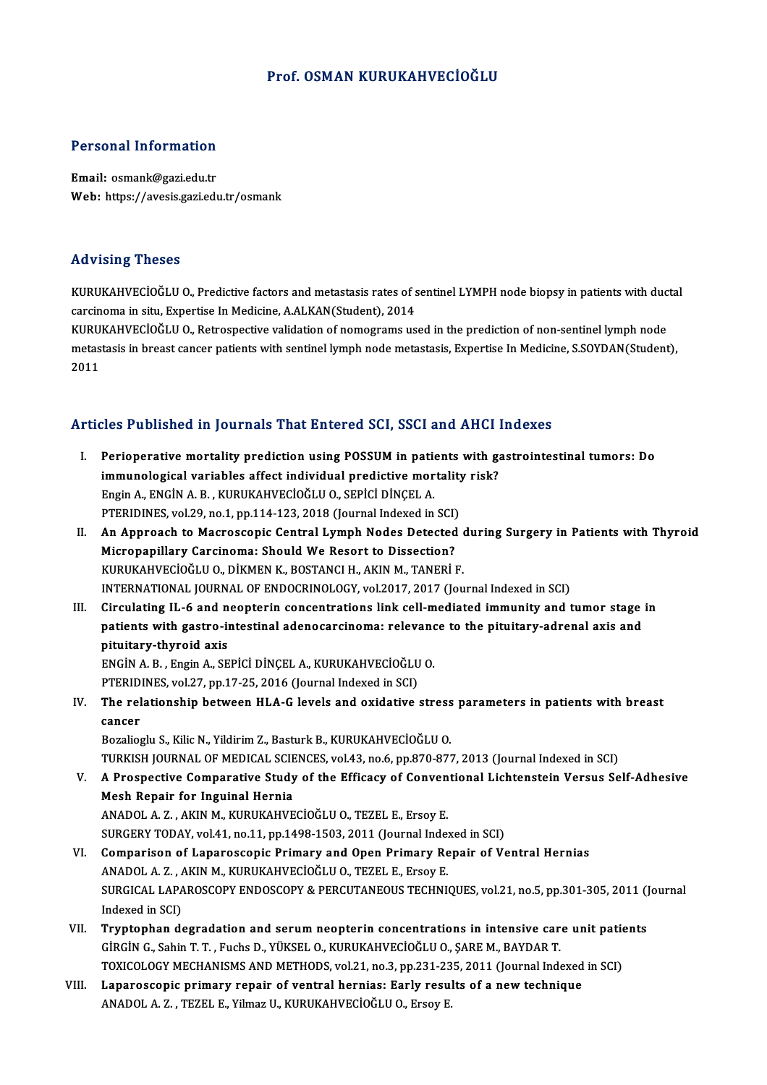## Prof. OSMAN KURUKAHVECİOĞLU

### Personal Information

Email: osmank@gazi.edu.tr Web: https://avesis.gazi.edu.tr/osmank

### Advising Theses

Advising Theses<br>KURUKAHVECİOĞLU O., Predictive factors and metastasis rates of sentinel LYMPH node biopsy in patients with ductal<br>sarsinoma in situ, Expertise In Medisine, A ALKAN(Student), 2014 raa vasing i nesses<br>KURUKAHVECİOĞLU O., Predictive factors and metastasis rates of s<br>carcinoma in situ, Expertise In Medicine, A.ALKAN(Student), 2014<br>KURUKAHVECİOĞLU O. Petreenestive validation of nemestrams vs KURUKAHVECİOĞLU O., Predictive factors and metastasis rates of sentinel LYMPH node biopsy in patients with duc<br>carcinoma in situ, Expertise In Medicine, A.ALKAN(Student), 2014<br>KURUKAHVECİOĞLU O., Retrospective validation o

carcinoma in situ, Expertise In Medicine, A.ALKAN(Student), 2014<br>KURUKAHVECİOĞLU O., Retrospective validation of nomograms used in the prediction of non-sentinel lymph node<br>metastasis in breast cancer patients with sentine KURU<br>metas<br>2011

## Articles Published in Journals That Entered SCI, SSCI and AHCI Indexes

rticles Published in Journals That Entered SCI, SSCI and AHCI Indexes<br>I. Perioperative mortality prediction using POSSUM in patients with gastrointestinal tumors: Do<br>immunological variables offect individual predictive mor ites i dististica in journals final since our self, seen and final final<br>Perioperative mortality prediction using POSSUM in patients with g:<br>Immunological variables affect individual predictive mortality risk? Perioperative mortality prediction using POSSUM in pation<br>immunological variables affect individual predictive mor<br>Engin A., ENGİN A. B., KURUKAHVECİOĞLU O., SEPİCİ DİNÇEL A. immunological variables affect individual predictive mortality risk?<br>Engin A., ENGIN A. B., KURUKAHVECIOĞLU O., SEPICI DİNÇEL A.<br>PTERIDINES, vol.29, no.1, pp.114-123, 2018 (Journal Indexed in SCI) Engin A., ENGİN A. B. , KURUKAHVECİOĞLU O., SEPİCİ DİNÇEL A.<br>PTERIDINES, vol.29, no.1, pp.114-123, 2018 (Journal Indexed in SCI)<br>II. An Approach to Macroscopic Central Lymph Nodes Detected during Surgery in Patients with T PTERIDINES, vol.29, no.1, pp.114-123, 2018 (Journal Indexed in SCI)<br>An Approach to Macroscopic Central Lymph Nodes Detected<br>Micropapillary Carcinoma: Should We Resort to Dissection?<br>PUBUKAHVECIOČLU O DIFMEN K. POSTANCLH AF An Approach to Macroscopic Central Lymph Nodes Detected (Micropapillary Carcinoma: Should We Resort to Dissection?<br>KURUKAHVECİOĞLU 0., DİKMEN K., BOSTANCI H., AKIN M., TANERİ F.<br>INTERNATIONAL JOURNAL OE ENDOCRINOLOCY vel 2 Micropapillary Carcinoma: Should We Resort to Dissection?<br>KURUKAHVECİOĞLU O., DİKMEN K., BOSTANCI H., AKIN M., TANERİ F.<br>INTERNATIONAL JOURNAL OF ENDOCRINOLOGY, vol.2017, 2017 (Journal Indexed in SCI) III. Circulating IL-6 and neopterin concentrations link cell-mediated immunity and tumor stage in INTERNATIONAL JOURNAL OF ENDOCRINOLOGY, vol.2017, 2017 (Journal Indexed in SCI)<br>Circulating IL-6 and neopterin concentrations link cell-mediated immunity and tumor stage<br>patients with gastro-intestinal adenocarcinoma: rele Circulating IL-6 and n<br>patients with gastro-in<br>pituitary-thyroid axis<br>ENGIN A B Engin A SE patients with gastro-intestinal adenocarcinoma: relevano<br>pituitary-thyroid axis<br>ENGİN A. B. , Engin A., SEPİCİ DİNÇEL A., KURUKAHVECİOĞLU O.<br>PTERIDINES vol 27. nn 17.25. 2016 (Jaurnal Indaved in SCI) pituitary-thyroid axis<br>ENGİN A. B. , Engin A., SEPİCİ DİNÇEL A., KURUKAHVECİOĞLU<br>PTERIDINES, vol.27, pp.17-25, 2016 (Journal Indexed in SCI)<br>The relationship hatween HLA G levels and evidetive ENGİN A. B. , Engin A., SEPİCİ DİNÇEL A., KURUKAHVECİOĞLU O.<br>PTERIDINES, vol.27, pp.17-25, 2016 (Journal Indexed in SCI)<br>IV. The relationship between HLA-G levels and oxidative stress parameters in patients with breast PTERID<br>The rel<br>cancer The relationship between HLA-G levels and oxidative stress<br>cancer<br>Bozalioglu S., Kilic N., Yildirim Z., Basturk B., KURUKAHVECİOĞLU O.<br>TURKISH JOURNAL OF MEDICAL SCIENCES .vol.43, po.6, pp.970,977 cancer<br>Bozalioglu S., Kilic N., Yildirim Z., Basturk B., KURUKAHVECİOĞLU O.<br>TURKISH JOURNAL OF MEDICAL SCIENCES, vol.43, no.6, pp.870-877, 2013 (Journal Indexed in SCI)<br>A Prespective Comporative Study of the Efficesy of Co Bozalioglu S., Kilic N., Yildirim Z., Basturk B., KURUKAHVECİOĞLU O.<br>TURKISH JOURNAL OF MEDICAL SCIENCES, vol.43, no.6, pp.870-877, 2013 (Journal Indexed in SCI)<br>V. A Prospective Comparative Study of the Efficacy of Con TURKISH JOURNAL OF MEDICAL SCIE<br>A Prospective Comparative Study<br>Mesh Repair for Inguinal Hernia<br>ANADOL A Z - AKIN M. KURUKAHVE ANADOL A.Z., AKIN M., KURUKAHVECİOĞLU O., TEZEL E., Ersoy E. SURGERY TODAY, vol.41, no.11, pp.1498-1503, 2011 (Journal Indexed in SCI) ANADOL A. Z., AKIN M., KURUKAHVECIOĞLU O., TEZEL E., Ersoy E.<br>SURGERY TODAY, vol.41, no.11, pp.1498-1503, 2011 (Journal Indexed in SCI)<br>VI. Comparison of Laparoscopic Primary and Open Primary Repair of Ventral Hernias<br>ANAD SURGERY TODAY, vol.41, no.11, pp.1498-1503, 2011 (Journal Inde:<br>Comparison of Laparoscopic Primary and Open Primary Re<br>ANADOL A. Z. , AKIN M., KURUKAHVECİOĞLU O., TEZEL E., Ersoy E.<br>SURCICAL LAPAROSCOPY ENDOSCOPY & PERCUTA Comparison of Laparoscopic Primary and Open Primary Repair of Ventral Hernias<br>ANADOL A. Z. , AKIN M., KURUKAHVECİOĞLU O., TEZEL E., Ersoy E.<br>SURGICAL LAPAROSCOPY ENDOSCOPY & PERCUTANEOUS TECHNIQUES, vol.21, no.5, pp.301-30 ANADOL A. Z. , *i*<br>SURGICAL LAP*i*<br>Indexed in SCI)<br>Tuuntonhan di SURGICAL LAPAROSCOPY ENDOSCOPY & PERCUTANEOUS TECHNIQUES, vol.21, no.5, pp.301-305, 2011 ()<br>Indexed in SCI)<br>VII. Tryptophan degradation and serum neopterin concentrations in intensive care unit patients<br>CIPCIN C. Sobin T. Indexed in SCI)<br>VII. Tryptophan degradation and serum neopterin concentrations in intensive care unit patients<br>GİRGİN G., Sahin T. T. , Fuchs D., YÜKSEL O., KURUKAHVECİOĞLU O., SARE M., BAYDAR T. Tryptophan degradation and serum neopterin concentrations in intensive care unit patie<br>GİRGİN G., Sahin T. T. , Fuchs D., YÜKSEL O., KURUKAHVECİOĞLU O., ŞARE M., BAYDAR T.<br>TOXICOLOGY MECHANISMS AND METHODS, vol.21, no.3, p GIRGIN G., Sahin T. T., Fuchs D., YÜKSEL O., KURUKAHVECIOĞLU O., ŞARE M., BAYDAR T.<br>TOXICOLOGY MECHANISMS AND METHODS, vol.21, no.3, pp.231-235, 2011 (Journal Indexed<br>VIII. Laparoscopic primary repair of ventral hernias: E TOXICOLOGY MECHANISMS AND METHODS, vol.21, no.3, pp.231-23<br>Laparoscopic primary repair of ventral hernias: Early resu<br>ANADOL A. Z. , TEZEL E., Yilmaz U., KURUKAHVECİOĞLU O., Ersoy E.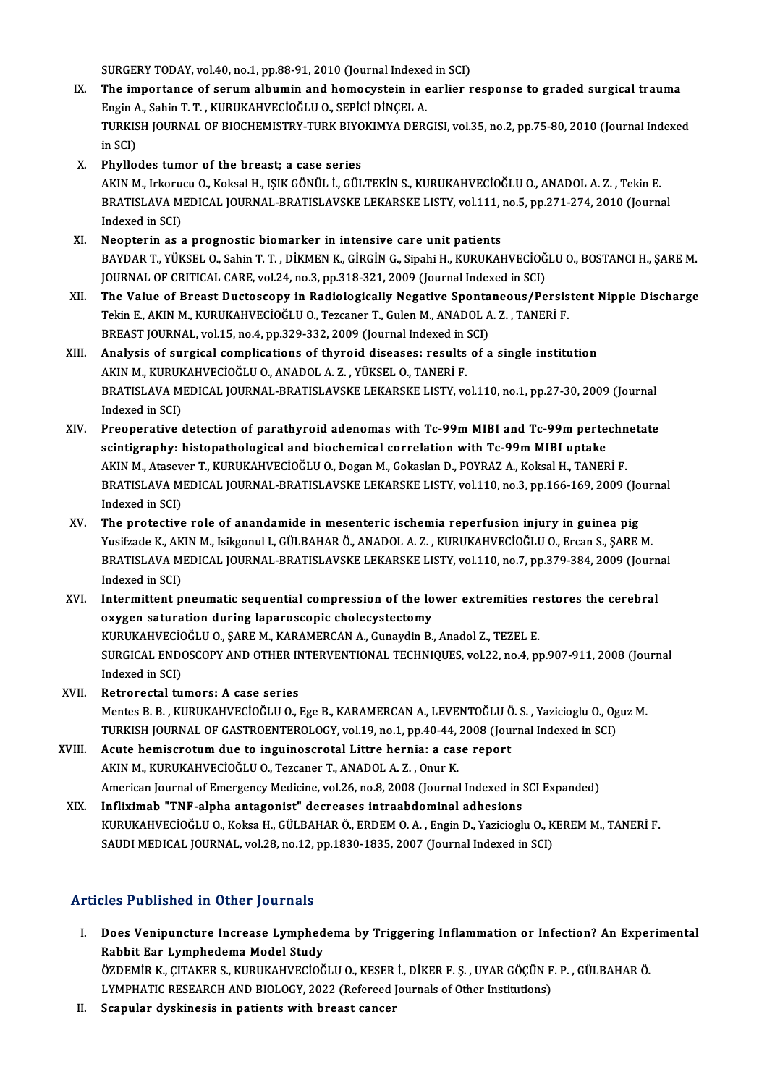SURGERY TODAY, vol.40, no.1, pp.88-91, 2010 (Journal Indexed in SCI)

- IX. The importance of serumalbumin and homocystein in earlier response to graded surgical trauma SURGERY TODAY, vol.40, no.1, pp.88-91, 2010 (Journal Indexed The importance of serum albumin and homocystein in experience and the series of serum albumin and homocystein in experience and the series of series of series  $\$ TURKISH JOURNAL OF BIOCHEMISTRY-TURK BIYOKIMYA DERGISI, vol.35, no.2, pp.75-80, 2010 (Journal Indexed<br>in SCI) Engin A<br>TURKIS<br>in SCI)<br>Phyllo
- X. Phyllodes tumor of the breast; a case series

in SCI)<br><mark>Phyllodes tumor of the breast; a case series</mark><br>AKIN M., Irkorucu O., Koksal H., IŞIK GÖNÜL İ., GÜLTEKİN S., KURUKAHVECİOĞLU O., ANADOL A. Z. , Tekin E.<br>PRATISLAVA MEDICAL JOURNAL PRATISLAVSKE LEKARSKE LISTV, vol 11 BRATISLAVA MEDICAL JOURNAL-BRATISLAVSKE LEKARSKE LISTY, vol.111, no.5, pp.271-274, 2010 (Journal Indexed in SCI) AKIN M., Irkoru<br>BRATISLAVA M<br>Indexed in SCI)<br>Neontorin as 4

- XI. Neopterin as a prognostic biomarker in intensive care unit patients Indexed in SCI)<br><mark>Neopterin as a prognostic biomarker in intensive care unit patients</mark><br>BAYDAR T., YÜKSEL O., Sahin T. T. , DİKMEN K., GİRGİN G., Sipahi H., KURUKAHVECİOĞLU O., BOSTANCI H., ŞARE M.<br>JOUPMAL OE CPITICAL GARE v Neopterin as a prognostic biomarker in intensive care unit patients<br>BAYDAR T., YÜKSEL O., Sahin T. T. , DİKMEN K., GİRGİN G., Sipahi H., KURUKAHVECİOĞ<br>JOURNAL OF CRITICAL CARE, vol.24, no.3, pp.318-321, 2009 (Journal Index JOURNAL OF CRITICAL CARE, vol.24, no.3, pp.318-321, 2009 (Journal Indexed in SCI)<br>XII. The Value of Breast Ductoscopy in Radiologically Negative Spontaneous/Persistent Nipple Discharge
- JOURNAL OF CRITICAL CARE, vol.24, no.3, pp.318-321, 2009 (Journal Indexed in SCI)<br>The Value of Breast Ductoscopy in Radiologically Negative Spontaneous/Persis<br>Tekin E., AKIN M., KURUKAHVECİOĞLU O., Tezcaner T., Gulen M., A The Value of Breast Ductoscopy in Radiologically Negative Sponta<br>Tekin E., AKIN M., KURUKAHVECİOĞLU O., Tezcaner T., Gulen M., ANADOL A<br>BREAST JOURNAL, vol.15, no.4, pp.329-332, 2009 (Journal Indexed in SCI)<br>Analysis of su Tekin E., AKIN M., KURUKAHVECİOĞLU O., Tezcaner T., Gulen M., ANADOL A. Z. , TANERİ F.<br>BREAST JOURNAL, vol.15, no.4, pp.329-332, 2009 (Journal Indexed in SCI)<br>XIII. Analysis of surgical complications of thyroid diseases: r
- BREAST JOURNAL, vol.15, no.4, pp.329-332, 2009 (Journal Indexed in SCI)<br>Analysis of surgical complications of thyroid diseases: results of a single institution BRATISLAVA MEDICAL JOURNAL-BRATISLAVSKE LEKARSKE LISTY, vol.110, no.1, pp.27-30, 2009 (Journal Indexed in SCI) AKIN M., KURUKAHVECİOĞLU O., ANADOL A.Z., YÜKSEL O., TANERİ F. BRATISLAVA MEDICAL JOURNAL-BRATISLAVSKE LEKARSKE LISTY, vol.110, no.1, pp.27-30, 2009 (Journal<br>Indexed in SCI)<br>XIV. Preoperative detection of parathyroid adenomas with Tc-99m MIBI and Tc-99m pertechnetate<br>contigranty: bist
- Indexed in SCI)<br>Preoperative detection of parathyroid adenomas with Tc-99m MIBI and Tc-99m perte<br>scintigraphy: histopathological and biochemical correlation with Tc-99m MIBI uptake<br>AKIN M. Atassisci<sup>n</sup> I. KUBUKAHVECIOČI U. Preoperative detection of parathyroid adenomas with Tc-99m MIBI and Tc-99m pertechn<br>scintigraphy: histopathological and biochemical correlation with Tc-99m MIBI uptake<br>AKIN M., Atasever T., KURUKAHVECİOĞLU O., Dogan M., Go scintigraphy: histopathological and biochemical correlation with Tc-99m MIBI uptake<br>AKIN M., Atasever T., KURUKAHVECİOĞLU O., Dogan M., Gokaslan D., POYRAZ A., Koksal H., TANERİ F.<br>BRATISLAVA MEDICAL JOURNAL-BRATISLAVSKE L AKIN M., Atasev<br>BRATISLAVA M<br>Indexed in SCI)<br>The protective BRATISLAVA MEDICAL JOURNAL-BRATISLAVSKE LEKARSKE LISTY, vol.110, no.3, pp.166-169, 2009 (Jo<br>Indexed in SCI)<br>XV. The protective role of anandamide in mesenteric ischemia reperfusion injury in guinea pig<br>Vusifreds K. AKIN M.
- Indexed in SCI)<br>The protective role of anandamide in mesenteric ischemia reperfusion injury in guinea pig<br>Yusifzade K., AKIN M., Isikgonul I., GÜLBAHAR Ö., ANADOL A. Z. , KURUKAHVECİOĞLU O., Ercan S., ŞARE M.<br>PRATISLAVA ME The protective role of anandamide in mesenteric ischemia reperfusion injury in guinea pig<br>Yusifzade K., AKIN M., Isikgonul I., GÜLBAHAR Ö., ANADOL A. Z., KURUKAHVECİOĞLU O., Ercan S., ŞARE M.<br>BRATISLAVA MEDICAL JOURNAL-BRA Yusifzade K., AK<br>BRATISLAVA M<br>Indexed in SCI)<br>Intermittent n BRATISLAVA MEDICAL JOURNAL-BRATISLAVSKE LEKARSKE LISTY, vol.110, no.7, pp.379-384, 2009 (Journ<br>Indexed in SCI)<br>XVI. Intermittent pneumatic sequential compression of the lower extremities restores the cerebral<br>awgree estima
- Indexed in SCI)<br>Intermittent pneumatic sequential compression of the lo<br>oxygen saturation during laparoscopic cholecystectomy<br>KURUKAHVECIOČLU O, SARE M, KARAMERCAN A, Gunardin P Intermittent pneumatic sequential compression of the lower extremities re<br>oxygen saturation during laparoscopic cholecystectomy<br>KURUKAHVECİOĞLU O., ŞARE M., KARAMERCAN A., Gunaydin B., Anadol Z., TEZEL E.<br>SURCICAL ENDOSCOP oxygen saturation during laparoscopic cholecystectomy<br>KURUKAHVECİOĞLU O., ŞARE M., KARAMERCAN A., Gunaydin B., Anadol Z., TEZEL E.<br>SURGICAL ENDOSCOPY AND OTHER INTERVENTIONAL TECHNIQUES, vol.22, no.4, pp.907-911, 2008 (Jou KURUKAHVECIO<br>SURGICAL ENDO<br>Indexed in SCI)<br>Retronatel tu SURGICAL ENDOSCOPY AND OTHER IN<br>Indexed in SCI)<br>XVII. Retrorectal tumors: A case series<br>Montos B. B. KUBUKAHVECIOČI U.O.
- Indexed in SCI)<br>Retrorectal tumors: A case series<br>Mentes B. B. , KURUKAHVECİOĞLU O., Ege B., KARAMERCAN A., LEVENTOĞLU Ö. S. , Yazicioglu O., Oguz M.<br>TURKISH JOURNAL OF CASTROENTEROLOGY vel 19. ns.1. nn.49.44.2008 (Jaurnal Retrorectal tumors: A case series<br>Mentes B. B. , KURUKAHVECİOĞLU O., Ege B., KARAMERCAN A., LEVENTOĞLU Ö. S. , Yazicioglu O., Og<br>TURKISH JOURNAL OF GASTROENTEROLOGY, vol.19, no.1, pp.40-44, 2008 (Journal Indexed in SCI)<br>As TURKISH JOURNAL OF GASTROENTEROLOGY, vol.19, no.1, pp.40-44, 2008 (Journal Indexed in SCI)<br>XVIII. Acute hemiscrotum due to inguinoscrotal Littre hernia: a case report
- AKIN M., KURUKAHVECİOĞLU O., Tezcaner T., ANADOL A.Z., Onur K. Acute hemiscrotum due to inguinoscrotal Littre hernia: a case report<br>AKIN M., KURUKAHVECİOĞLU O., Tezcaner T., ANADOL A. Z. , Onur K.<br>American Journal of Emergency Medicine, vol.26, no.8, 2008 (Journal Indexed in SCI Expan AKIN M., KURUKAHVECİOĞLU O., Tezcaner T., ANADOL A. Z. , Onur K.<br>American Journal of Emergency Medicine, vol.26, no.8, 2008 (Journal Indexed in !<br>XIX. Infliximab "TNF-alpha antagonist" decreases intraabdominal adhesions<br>KU
- American Journal of Emergency Medicine, vol.26, no.8, 2008 (Journal Indexed in SCI Expanded)<br>Infliximab "TNF-alpha antagonist" decreases intraabdominal adhesions<br>KURUKAHVECİOĞLU O., Koksa H., GÜLBAHAR Ö., ERDEM O. A. , Eng Infliximab "TNF-alpha antagonist" decreases intraabdominal adhesions<br>KURUKAHVECİOĞLU O., Koksa H., GÜLBAHAR Ö., ERDEM O. A. , Engin D., Yazicioglu O., K<br>SAUDI MEDICAL JOURNAL, vol.28, no.12, pp.1830-1835, 2007 (Journal Ind SAUDI MEDICAL JOURNAL, vol.28, no.12, pp.1830-1835, 2007 (Journal Indexed in SCI)<br>Articles Published in Other Journals

- rticles Published in Other Journals<br>I. Does Venipuncture Increase Lymphedema by Triggering Inflammation or Infection? An Experimental<br>Robbit For Lymphedema Medel Study Res I denence in Strei Journals<br>Does Venipuncture Increase Lymphed<br>Rabbit Ear Lymphedema Model Study<br>ÖZDEMIR K. CITAKER S. KURUKAHVECIOČ Does Venipuncture Increase Lymphedema by Triggering Inflammation or Infection? An Exper<br>Rabbit Ear Lymphedema Model Study<br>ÖZDEMİR K., ÇITAKER S., KURUKAHVECİOĞLU O., KESER İ., DİKER F. Ş. , UYAR GÖÇÜN F. P. , GÜLBAHAR Ö.<br>L Rabbit Ear Lymphedema Model Study<br>ÖZDEMİR K., ÇITAKER S., KURUKAHVECİOĞLU O., KESER İ., DİKER F. Ş. , UYAR GÖÇÜN F<br>LYMPHATIC RESEARCH AND BIOLOGY, 2022 (Refereed Journals of Other Institutions)<br>Seapular dyekinesis in patie LYMPHATIC RESEARCH AND BIOLOGY, 2022 (Refereed Journals of Other Institutions)<br>II. Scapular dyskinesis in patients with breast cancer
-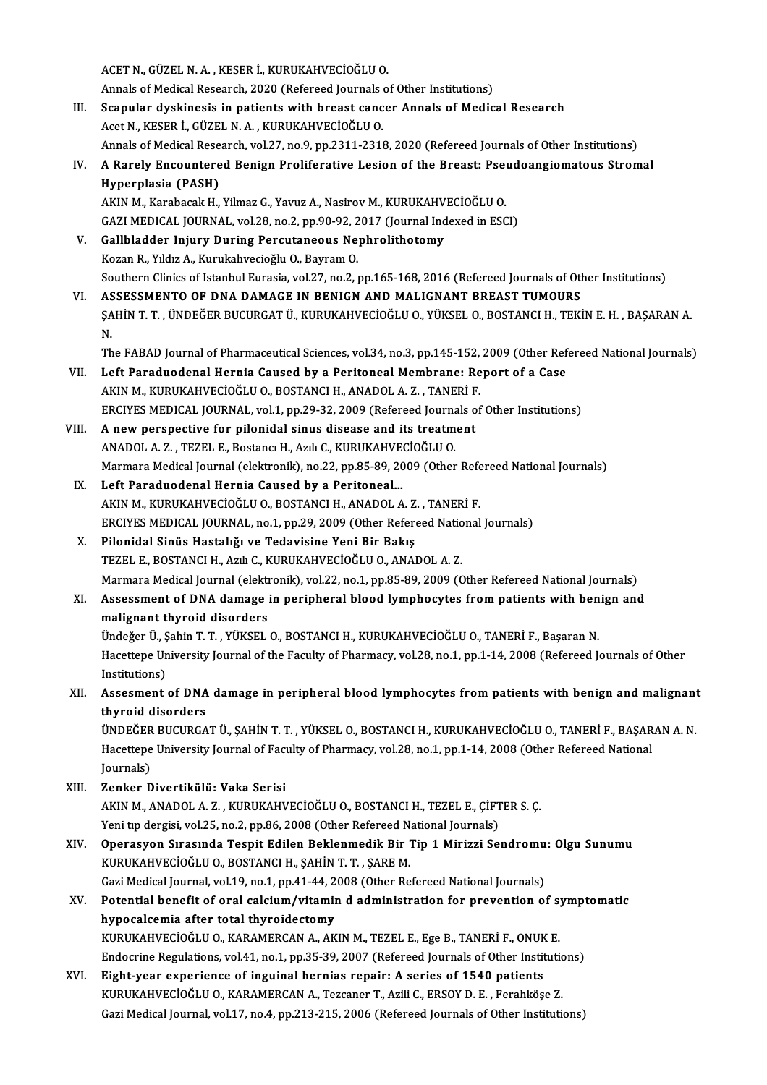ACETN.,GÜZELN.A. ,KESERİ.,KURUKAHVECİOĞLUO. ACET N., GÜZEL N. A. , KESER İ., KURUKAHVECİOĞLU O.<br>Annals of Medical Research, 2020 (Refereed Journals of Other Institutions)<br>Seanular dyakinesis in patients with breast sansar Annals of Medis III. Scapular dyskinesis in patients with breast cancer Annals of Medical Research Acet N., KESER İ., GÜZEL N. A., KURUKAHVECİOĞLU O. Annals of Medical Research, 2020 (Refereed Journals)<br>Scapular dyskinesis in patients with breast canc<br>Acet N., KESER İ., GÜZEL N. A. , KURUKAHVECİOĞLU O.<br>Annals of Medical Bessarsh vol 27. no 9. nn 2211.2211 Scapular dyskinesis in patients with breast cancer Annals of Medical Research<br>Acet N., KESER İ., GÜZEL N. A. , KURUKAHVECİOĞLU O.<br>Annals of Medical Research, vol.27, no.9, pp.2311-2318, 2020 (Refereed Journals of Other Ins Acet N., KESER İ., GÜZEL N. A. , KURUKAHVECİOĞLU O.<br>Annals of Medical Research, vol.27, no.9, pp.2311-2318, 2020 (Refereed Journals of Other Institutions)<br>IV. A Rarely Encountered Benign Proliferative Lesion of the Bre Annals of Medical Rese<br>A Rarely Encountere<br>Hyperplasia (PASH)<br>AKIN M. Karabasak H A Rarely Encountered Benign Proliferative Lesion of the Breast: Pset<br>Hyperplasia (PASH)<br>AKIN M., Karabacak H., Yilmaz G., Yavuz A., Nasirov M., KURUKAHVECİOĞLU O.<br>CAZI MEDICAL JOUPNAL .val 38 no 2 np 90 92 2017 (Journal In Hyperplasia (PASH)<br>AKIN M., Karabacak H., Yilmaz G., Yavuz A., Nasirov M., KURUKAHVECİOĞLU O.<br>GAZI MEDICAL JOURNAL, vol.28, no.2, pp.90-92, 2017 (Journal Indexed in ESCI) AKIN M., Karabacak H., Yilmaz G., Yavuz A., Nasirov M., KURUKAHV<br>GAZI MEDICAL JOURNAL, vol.28, no.2, pp.90-92, 2017 (Journal Ind<br>V. Gallbladder Injury During Percutaneous Nephrolithotomy<br>Kezan B. Vidiz A. Kurukohuesiağlu O GAZI MEDICAL JOURNAL, vol.28, no.2, pp.90-92, 2<br>Gallbladder Injury During Percutaneous Ne<br>Kozan R., Yıldız A., Kurukahvecioğlu O., Bayram O.<br>Southern Clinics of Istanbul Eurosia vol.27, no.2, 1 Gallbladder Injury During Percutaneous Nephrolithotomy<br>Kozan R., Yıldız A., Kurukahvecioğlu O., Bayram O.<br>Southern Clinics of Istanbul Eurasia, vol.27, no.2, pp.165-168, 2016 (Refereed Journals of Other Institutions)<br>ASSES Kozan R., Yıldız A., Kurukahvecioğlu O., Bayram O.<br>Southern Clinics of Istanbul Eurasia, vol.27, no.2, pp.165-168, 2016 (Refereed Journals of Otl<br>VI. ASSESSMENTO OF DNA DAMAGE IN BENIGN AND MALIGNANT BREAST TUMOURS<br>SAHIN T Southern Clinics of Istanbul Eurasia, vol.27, no.2, pp.165-168, 2016 (Refereed Journals of Other Institutions)<br>ASSESSMENTO OF DNA DAMAGE IN BENIGN AND MALIGNANT BREAST TUMOURS<br>ŞAHİN T. T. , ÜNDEĞER BUCURGAT Ü., KURUKAHVECİ AS<br>SA<br>N. ŞAHİN T. T. , ÜNDEĞER BUCURGAT Ü., KURUKAHVECİOĞLU O., YÜKSEL O., BOSTANCI H., TEKİN E. H. , BAŞARAN A.<br>N.<br>The FABAD Journal of Pharmaceutical Sciences, vol.34, no.3, pp.145-152, 2009 (Other Refereed National Journals)<br>Lef N.<br>The FABAD Journal of Pharmaceutical Sciences, vol.34, no.3, pp.145-152, 2009 (Other Ref<br>VII. Left Paraduodenal Hernia Caused by a Peritoneal Membrane: Report of a Case<br>AKIN M., KURUKAHVECİOĞLU O., BOSTANCI H., ANADOL A. The FABAD Journal of Pharmaceutical Sciences, vol.34, no.3, pp.145-152, 2009 (Other Refereed National Journals) Left Paraduodenal Hernia Caused by a Peritoneal Membrane: Report of a Case<br>AKIN M., KURUKAHVECİOĞLU O., BOSTANCI H., ANADOL A. Z. , TANERİ F.<br>ERCIYES MEDICAL JOURNAL, vol.1, pp.29-32, 2009 (Refereed Journals of Other Insti VIII. A new perspective for pilonidal sinus disease and its treatment<br>ANADOL A. Z., TEZEL E., Bostanci H., Azili C., KURUKAHVECİOĞLU O. ERCIYES MEDICAL JOURNAL, vol.1, pp.29-32, 2009 (Refereed Journa<br>A new perspective for pilonidal sinus disease and its treatm<br>ANADOL A. Z. , TEZEL E., Bostancı H., Azılı C., KURUKAHVECİOĞLU O.<br>Marmara Medical Journal (elekt Marmara Medical Journal (elektronik), no.22, pp.85-89, 2009 (Other Refereed National Journals) IX. Left Paraduodenal Hernia Caused by a Peritoneal... AKIN M., KURUKAHVECİOĞLU O., BOSTANCI H., ANADOL A. Z., TANERİ F. Left Paraduodenal Hernia Caused by a Peritoneal...<br>AKIN M., KURUKAHVECİOĞLU O., BOSTANCI H., ANADOL A. Z. , TANERİ F.<br>ERCIYES MEDICAL JOURNAL, no.1, pp.29, 2009 (Other Refereed National Journals)<br>Bilonidal Sinüs Hastalığı X. Pilonidal Sinüs Hastalığı ve Tedavisine Yeni Bir Bakış ERCIYES MEDICAL JOURNAL, no.1, pp.29, 2009 (Other Refereed Natio<br>Pilonidal Sinüs Hastalığı ve Tedavisine Yeni Bir Bakış<br>TEZEL E., BOSTANCI H., Azılı C., KURUKAHVECİOĞLU O., ANADOL A. Z.<br>Marmara Madical Jaurnal (alaktranik) Marmara Medical Journal (elektronik), vol.22, no.1, pp.85-89, 2009 (Other Refereed National Journals) TEZEL E., BOSTANCI H., Azılı C., KURUKAHVECİOĞLU O., ANADOL A. Z.<br>Marmara Medical Journal (elektronik), vol.22, no.1, pp.85-89, 2009 (Other Refereed National Journals)<br>XI. Assessment of DNA damage in peripheral blood lymph Marmara Medical Journal (elekt<br>Assessment of DNA damage<br>malignant thyroid disorders<br><sup>Theložor II</sup>, Sebin T.T., VÜKSEL Assessment of DNA damage in peripheral blood lymphocytes from patients with ben<br>malignant thyroid disorders<br>Ündeğer Ü., Şahin T. T. , YÜKSEL O., BOSTANCI H., KURUKAHVECİOĞLU O., TANERİ F., Başaran N.<br>Hasattana University J malignant thyroid disorders<br>Ündeğer Ü., Şahin T. T. , YÜKSEL O., BOSTANCI H., KURUKAHVECİOĞLU O., TANERİ F., Başaran N.<br>Hacettepe University Journal of the Faculty of Pharmacy, vol.28, no.1, pp.1-14, 2008 (Refereed Journal Ündeğer Ü., Ş<br>Hacettepe Ur<br>Institutions)<br>Assement Hacettepe University Journal of the Faculty of Pharmacy, vol.28, no.1, pp.1-14, 2008 (Refereed Journals of Other<br>Institutions)<br>XII. Assesment of DNA damage in peripheral blood lymphocytes from patients with benign and mali Institutions)<br>Assesment of DNA<br>thyroid disorders<br>ünnečen pucunca Assesment of DNA damage in peripheral blood lymphocytes from patients with benign and malignant<br>thyroid disorders<br>ÜNDEĞER BUCURGAT Ü., ŞAHİN T. T. , YÜKSEL O., BOSTANCI H., KURUKAHVECİOĞLU O., TANERİ F., BAŞARAN A. N.<br>Hast thyroid disorders<br>ÜNDEĞER BUCURGAT Ü., ŞAHİN T. T. , YÜKSEL O., BOSTANCI H., KURUKAHVECİOĞLU O., TANERİ F., BAŞAR<br>Hacettepe University Journal of Faculty of Pharmacy, vol.28, no.1, pp.1-14, 2008 (Other Refereed National<br>Jo ÜNDEĞER<br>Hacettepe<br>Journals)<br>Zenker D Hacettepe University Journal of Faculty of Pharmacy, vol.28, no.1, pp.1-14, 2008 (Other Refereed National<br>Journals)<br>XIII. Zenker Divertikülü: Vaka Serisi AKINM.,ANADOLA.Z. ,KURUKAHVECİOĞLUO.,BOSTANCIH.,TEZEL E.,ÇİFTERS.Ç. Zenker Divertikülü: Vaka Serisi<br>AKIN M., ANADOL A. Z. , KURUKAHVECİOĞLU O., BOSTANCI H., TEZEL E., ÇİFT<br>Yeni tıp dergisi, vol.25, no.2, pp.86, 2008 (Other Refereed National Journals)<br>Onerasyon Sırasında Tesnit Edilen Bekla AKIN M., ANADOL A. Z. , KURUKAHVECİOĞLU O., BOSTANCI H., TEZEL E., ÇİFTER S. Ç.<br>Yeni tıp dergisi, vol.25, no.2, pp.86, 2008 (Other Refereed National Journals)<br>XIV. Operasyon Sırasında Tespit Edilen Beklenmedik Bir Tip Yeni tıp dergisi, vol.25, no.2, pp.86, 2008 (Other Refereed N.<br>Operasyon Sırasında Tespit Edilen Beklenmedik Bir<br>KURUKAHVECİOĞLU O., BOSTANCI H., ŞAHİN T. T. , ŞARE M.<br>Ceri Medicel Journal vol.19, no.1, np.41,44,2008 (Othe Operasyon Sırasında Tespit Edilen Beklenmedik Bir Tip 1 Mirizzi Sendromu<br>KURUKAHVECİOĞLU O., BOSTANCI H., ŞAHİN T. T. , ŞARE M.<br>Gazi Medical Journal, vol.19, no.1, pp.41-44, 2008 (Other Refereed National Journals)<br>Petentia KURUKAHVECİOĞLU O., BOSTANCI H., ŞAHİN T. T. , ŞARE M.<br>Gazi Medical Journal, vol.19, no.1, pp.41-44, 2008 (Other Refereed National Journals)<br>XV. Potential benefit of oral calcium/vitamin d administration for prevention of Gazi Medical Journal, vol.19, no.1, pp.41-44, 2008 (Other Refereed National Journals) Potential benefit of oral calcium/vitamin d administration for prevention of sy<br>hypocalcemia after total thyroidectomy<br>KURUKAHVECİOĞLU O., KARAMERCAN A., AKIN M., TEZEL E., Ege B., TANERİ F., ONUK E.<br>Endegrine Pequlations hypocalcemia after total thyroidectomy<br>KURUKAHVECİOĞLU O., KARAMERCAN A., AKIN M., TEZEL E., Ege B., TANERİ F., ONUK E.<br>Endocrine Regulations, vol.41, no.1, pp.35-39, 2007 (Refereed Journals of Other Institutions)<br>Fight vo KURUKAHVECİOĞLU O., KARAMERCAN A., AKIN M., TEZEL E., Ege B., TANERİ F., ONUK<br>Endocrine Regulations, vol.41, no.1, pp.35-39, 2007 (Refereed Journals of Other Instit<br>XVI. Eight-year experience of inguinal hernias repair: A Endocrine Regulations, vol.41, no.1, pp.35-39, 2007 (Refereed Journals of Other Institution<br>Eight-year experience of inguinal hernias repair: A series of 1540 patients<br>KURUKAHVECİOĞLU O., KARAMERCAN A., Tezcaner T., Azili Eight-year experience of inguinal hernias repair: A series of 1540 patients<br>KURUKAHVECİOĞLU O., KARAMERCAN A., Tezcaner T., Azili C., ERSOY D. E. , Ferahköşe Z.<br>Gazi Medical Journal, vol.17, no.4, pp.213-215, 2006 (Referee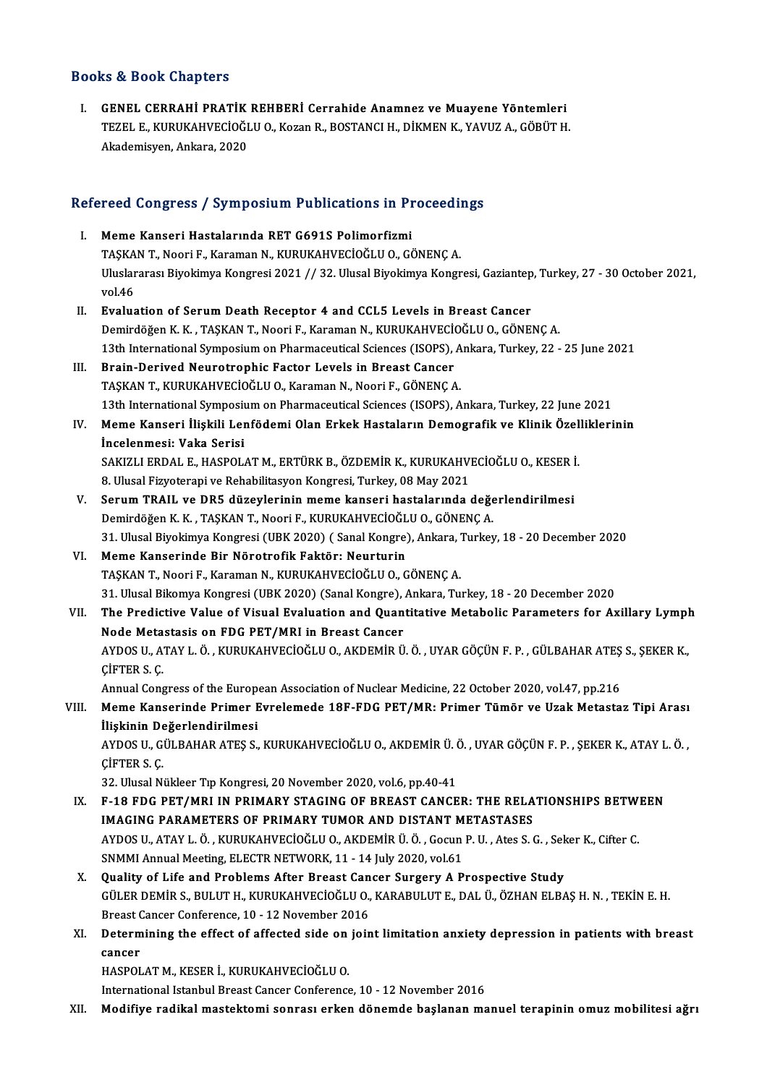## Books&Book Chapters

I. GENEL CERRAHİ PRATİK REHBERİ Cerrahide Anamnez ve Muayene Yöntemleri TEZEL E.,KURUKAHVECİOĞLUO.,KozanR.,BOSTANCIH.,DİKMENK.,YAVUZA.,GÖBÜTH. Akademisyen,Ankara,2020

# Akademisyen, Ankara, 2020<br>Refereed Congress / Symposium Publications in Proceedings

- efereed Congress / Symposium Publications in Pr<br>I. Meme Kanseri Hastalarında RET G691S Polimorfizmi I. Meme Kanseri Hastalarında RET G691S Polimorfizmi<br>TAŞKAN T., Noori F., Karaman N., KURUKAHVECİOĞLU O., GÖNENÇA. Meme Kanseri Hastalarında RET G691S Polimorfizmi<br>TAŞKAN T., Noori F., Karaman N., KURUKAHVECİOĞLU O., GÖNENÇ A.<br>Uluslararası Biyokimya Kongresi 2021 // 32. Ulusal Biyokimya Kongresi, Gaziantep, Turkey, 27 - 30 October 2021 TAŞKA<br>Uluslar<br>vol.46 Uluslararası Biyokimya Kongresi 2021 // 32. Ulusal Biyokimya Kongresi, Gaziantep<br>vol.46<br>II. Evaluation of Serum Death Receptor 4 and CCL5 Levels in Breast Cancer<br>Demirdöğen K.K., TASKAN T. Noori E. Karaman N. KUBUKAHVECİQĞ vol.46<br><mark>Evaluation of Serum Death Receptor 4 and CCL5 Levels in Breast Cancer</mark><br>Demirdöğen K. K. , TAŞKAN T., Noori F., Karaman N., KURUKAHVECİOĞLU O., GÖNENÇ A.<br>12th International Sumnosium en Pharmaseutisal Ssienses (ISOP Evaluation of Serum Death Receptor 4 and CCL5 Levels in Breast Cancer<br>Demirdöğen K. K. , TAŞKAN T., Noori F., Karaman N., KURUKAHVECİOĞLU O., GÖNENÇ A.<br>13th International Symposium on Pharmaceutical Sciences (ISOPS), Ankar Demirdöğen K. K., TAŞKAN T., Noori F., Karaman N., KURUKAHVECİ<br>13th International Symposium on Pharmaceutical Sciences (ISOPS),<br>III. Brain-Derived Neurotrophic Factor Levels in Breast Cancer<br>TASKAN T. KUBUKAHVECİQĞI H.O. K 13th International Symposium on Pharmaceutical Sciences (ISOPS), A<br>Brain-Derived Neurotrophic Factor Levels in Breast Cancer<br>TAŞKAN T., KURUKAHVECİOĞLU O., Karaman N., Noori F., GÖNENÇ A.<br>12th International Symposium on Ph Brain-Derived Neurotrophic Factor Levels in Breast Cancer<br>TAŞKAN T., KURUKAHVECİOĞLU O., Karaman N., Noori F., GÖNENÇ A.<br>13th International Symposium on Pharmaceutical Sciences (ISOPS), Ankara, Turkey, 22 June 2021<br>Mama Ka TAŞKAN T., KURUKAHVECİOĞLU O., Karaman N., Noori F., GÖNENÇ A.<br>13th International Symposium on Pharmaceutical Sciences (ISOPS), Ankara, Turkey, 22 June 2021<br>IV. Meme Kanseri İlişkili Lenfödemi Olan Erkek Hastaların Dem 13th International Symposit<br>Meme Kanseri İlişkili Lei<br>İncelenmesi: Vaka Serisi<br>SAKIZI LEPDAL E. HASPOL Meme Kanseri İlişkili Lenfödemi Olan Erkek Hastaların Demografik ve Klinik Özel<br>İncelenmesi: Vaka Serisi<br>SAKIZLI ERDAL E., HASPOLAT M., ERTÜRK B., ÖZDEMİR K., KURUKAHVECİOĞLU O., KESER İ.<br>8 Hiyasi Eiwetereni ve Pehebilites İncelenmesi: Vaka Serisi<br>SAKIZLI ERDAL E., HASPOLAT M., ERTÜRK B., ÖZDEMİR K., KURUKAHVI<br>8. Ulusal Fizyoterapi ve Rehabilitasyon Kongresi, Turkey, 08 May 2021<br>Serum TRAH, ve DRE dürevlerinin meme kanseri, bestalarında SAKIZLI ERDAL E., HASPOLAT M., ERTÜRK B., ÖZDEMİR K., KURUKAHVECİOĞLU O., KESER İ<br>8. Ulusal Fizyoterapi ve Rehabilitasyon Kongresi, Turkey, 08 May 2021<br>V. Serum TRAIL ve DR5 düzeylerinin meme kanseri hastalarında değerlend
- 8. Ulusal Fizyoterapi ve Rehabilitasyon Kongresi, Turkey, 08 May 2021<br>V. Serum TRAIL ve DR5 düzeylerinin meme kanseri hastalarında değerlendirilmesi<br>Demirdöğen K. K. , TAŞKAN T., Noori F., KURUKAHVECİOĞLU O., GÖNENÇ A. Serum TRAIL ve DR5 düzeylerinin meme kanseri hastalarında değerlendirilmesi<br>Demirdöğen K. K. , TAŞKAN T., Noori F., KURUKAHVECİOĞLU O., GÖNENÇ A.<br>31. Ulusal Biyokimya Kongresi (UBK 2020) ( Sanal Kongre), Ankara, Turkey, 18
- VI. Meme Kanserinde Bir Nörotrofik Faktör: Neurturin 31. Ulusal Biyokimya Kongresi (UBK 2020) ( Sanal Kongre), Ankara, '<br>Meme Kanserinde Bir Nörotrofik Faktör: Neurturin<br>TAŞKAN T., Noori F., Karaman N., KURUKAHVECİOĞLU O., GÖNENÇ A.<br>21. Ulusal Bikomya Kongresi (UBK 2020) (Sa 31.UlusalBikomyaKongresi (UBK2020) (SanalKongre),Ankara,Turkey,18 -20December 2020 TAŞKAN T., Noori F., Karaman N., KURUKAHVECİOĞLU O., GÖNENÇ A.<br>31. Ulusal Bikomya Kongresi (UBK 2020) (Sanal Kongre), Ankara, Turkey, 18 - 20 December 2020<br>VII. The Predictive Value of Visual Evaluation and Quantitativ
- 31. Ulusal Bikomya Kongresi (UBK 2020) (Sanal Kongre),<br>The Predictive Value of Visual Evaluation and Quan<br>Node Metastasis on FDG PET/MRI in Breast Cancer<br>AYDOS U. ATAV L.Ö. KURUKAHVECIOČLU O. AKDEMIR Ü The Predictive Value of Visual Evaluation and Quantitative Metabolic Parameters for Axillary Lympl<br>Node Metastasis on FDG PET/MRI in Breast Cancer<br>AYDOS U., ATAY L. Ö. , KURUKAHVECİOĞLU O., AKDEMİR Ü. Ö. , UYAR GÖÇÜN F. P. Node Metastasis on FDG PET/MRI in Breast Cancer<br>AYDOS U., ATAY L. Ö. , KURUKAHVECİOĞLU O., AKDEMİR Ü. Ö. , UYAR GÖÇÜN F. P. , GÜLBAHAR ATEŞ S., ŞEKER K.,<br>ÇİFTER S. Ç.

Annual Congress of the European Association of Nuclear Medicine, 22 October 2020, vol.47, pp.216

CİFTER S. Ç.<br>Annual Congress of the European Association of Nuclear Medicine, 22 October 2020, vol.47, pp.216<br>VIII. Meme Kanserinde Primer Evrelemede 18F-FDG PET/MR: Primer Tümör ve Uzak Metastaz Tipi Arası<br>İlişkinin Değer Annual Congress of the Europ<br>Meme Kanserinde Primer I<br>İlişkinin Değerlendirilmesi<br>AYDOS IL CÜLBAHAR ATES S Meme Kanserinde Primer Evrelemede 18F-FDG PET/MR: Primer Tümör ve Uzak Metastaz Tipi Arası<br>İlişkinin Değerlendirilmesi<br>AYDOS U., GÜLBAHAR ATEŞ S., KURUKAHVECİOĞLU O., AKDEMİR Ü. Ö. , UYAR GÖÇÜN F. P. , ŞEKER K., ATAY L. Ö.

İlişkinin Değerlendirilmesi<br>AYDOS U., GÜLBAHAR ATEŞ S., KURUKAHVECİOĞLU O., AKDEMİR Ü.<br>ÇİFTER S. Ç.<br>32. Ulusal Nükleer Tıp Kongresi, 20 November 2020, vol.6, pp.40-41 AYDOS U., GÜLBAHAR ATEŞ S., KURUKAHVECİOĞLU O., AKDEMİR Ü. Ö., UYAR GÖÇÜN F. P., ŞEKER K., ATAY L. Ö.,

- CIFTER S. C.<br>32. Ulusal Nükleer Tıp Kongresi, 20 November 2020, vol.6, pp.40-41<br>IX. F-18 FDG PET/MRI IN PRIMARY STAGING OF BREAST CANCER: THE RELATIONSHIPS BETWEEN<br>IMAGING RARAMETERS OF RRIMARY TIMOR AND DISTANT METAST 32. Ulusal Nükleer Tip Kongresi, 20 November 2020, vol.6, pp.40-41<br>F-18 FDG PET/MRI IN PRIMARY STAGING OF BREAST CANCER: THE RELA<br>IMAGING PARAMETERS OF PRIMARY TUMOR AND DISTANT METASTASES<br>AYDOS U. ATAY L.Ö., KURUKAHVECİQÖ F-18 FDG PET/MRI IN PRIMARY STAGING OF BREAST CANCER: THE RELATIONSHIPS BETW.<br>IMAGING PARAMETERS OF PRIMARY TUMOR AND DISTANT METASTASES<br>AYDOS U., ATAY L. Ö. , KURUKAHVECİOĞLU O., AKDEMİR Ü. Ö. , Gocun P. U. , Ates S. G. , IMAGING PARAMETERS OF PRIMARY TUMOR AND DISTANT M<br>AYDOS U., ATAY L. Ö. , KURUKAHVECİOĞLU O., AKDEMİR Ü. Ö. , Gocun<br>SNMMI Annual Meeting, ELECTR NETWORK, 11 - 14 July 2020, vol.61<br>Quality of Life and Brablams After Braast C AYDOS U., ATAY L. Ö., KURUKAHVECİOĞLU O., AKDEMİR Ü. Ö., Gocun P. U., Ates S. G., Sek<br>SNMMI Annual Meeting, ELECTR NETWORK, 11 - 14 July 2020, vol.61<br>X. Quality of Life and Problems After Breast Cancer Surgery A Prospectiv
- SNMMI Annual Meeting, ELECTR NETWORK, 11 14 July 2020, vol.61<br>Quality of Life and Problems After Breast Cancer Surgery A Prospective Study<br>GÜLER DEMİR S., BULUT H., KURUKAHVECİOĞLU O., KARABULUT E., DAL Ü., ÖZHAN ELBAŞ H Quality of Life and Problems After Breast Cancel<br>GÜLER DEMIR S., BULUT H., KURUKAHVECIOĞLU O.,<br>Breast Cancer Conference, 10 - 12 November 2016<br>Determining the effect of effected side on join GÜLER DEMİR S., BULUT H., KURUKAHVECİOĞLU O., KARABULUT E., DAL Ü., ÖZHAN ELBAŞ H. N. , TEKİN E. H.<br>Breast Cancer Conference, 10 - 12 November 2016<br>XI. Determining the effect of affected side on joint limitation anxiety de
- **Breast (**<br>Determ<br>cancer<br>HASPOI Determining the effect of affected side on<br>cancer<br>HASPOLAT M., KESER İ., KURUKAHVECİOĞLU O.<br>International Istanbul Breast Cancer Conference cancer<br>International Istanbul Breast Cancer Conference, 10 - 12 November 2016<br>International Istanbul Breast Cancer Conference, 10 - 12 November 2016

XII. Modifiye radikal mastektomi sonrası erken dönemde başlanan manuel terapinin omuz mobilitesi ağrı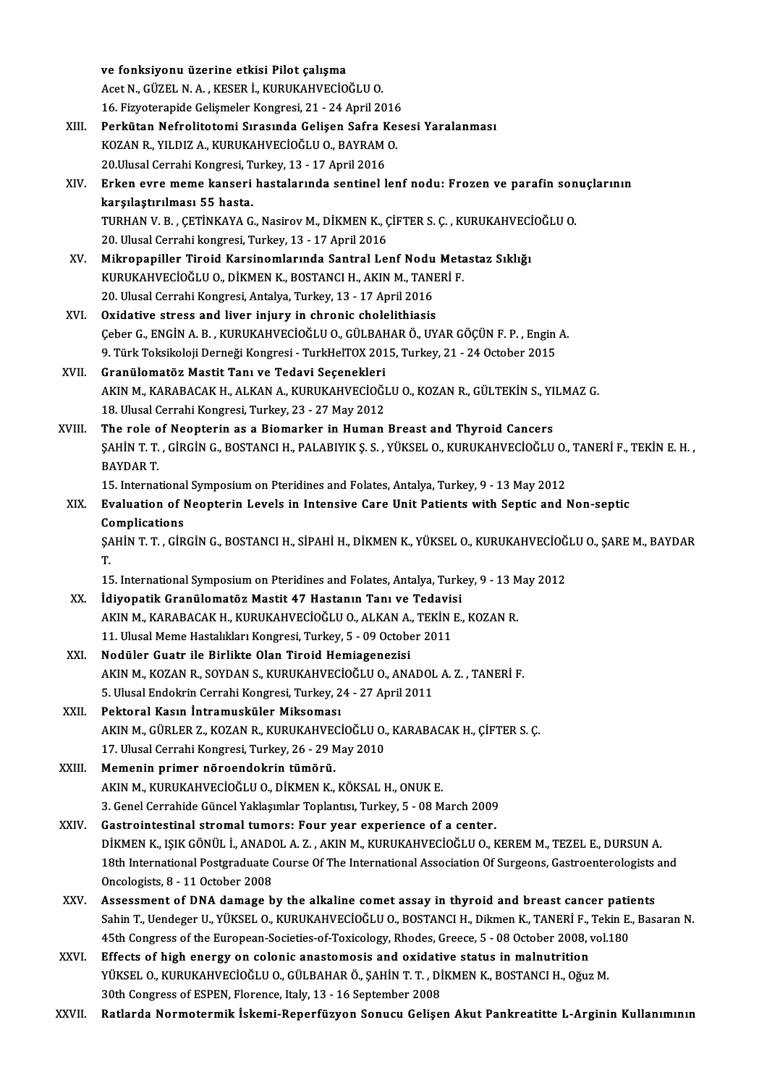|        | ve fonksiyonu üzerine etkisi Pilot çalışma                                                                     |
|--------|----------------------------------------------------------------------------------------------------------------|
|        | Acet N., GÜZEL N. A., KESER İ., KURUKAHVECİOĞLU O.                                                             |
|        | 16. Fizyoterapide Gelişmeler Kongresi, 21 - 24 April 2016                                                      |
| XIII.  | Perkütan Nefrolitotomi Sırasında Gelişen Safra Kesesi Yaralanması                                              |
|        | KOZAN R., YILDIZ A., KURUKAHVECİOĞLU O., BAYRAM O.                                                             |
|        | 20. Ulusal Cerrahi Kongresi, Turkey, 13 - 17 April 2016                                                        |
| XIV.   | Erken evre meme kanseri hastalarında sentinel lenf nodu: Frozen ve parafin sonuçlarının                        |
|        | karşılaştırılması 55 hasta.                                                                                    |
|        | TURHAN V. B., ÇETİNKAYA G., Nasirov M., DİKMEN K., ÇİFTER S. Ç., KURUKAHVECİOĞLU O.                            |
|        | 20. Ulusal Cerrahi kongresi, Turkey, 13 - 17 April 2016                                                        |
| XV.    | Mikropapiller Tiroid Karsinomlarında Santral Lenf Nodu Metastaz Sıklığı                                        |
|        | KURUKAHVECİOĞLU O., DİKMEN K., BOSTANCI H., AKIN M., TANERİ F.                                                 |
|        | 20. Ulusal Cerrahi Kongresi, Antalya, Turkey, 13 - 17 April 2016                                               |
| XVI.   | Oxidative stress and liver injury in chronic cholelithiasis                                                    |
|        | Çeber G., ENGİN A. B., KURUKAHVECİOĞLU O., GÜLBAHAR Ö., UYAR GÖÇÜN F. P., Engin A.                             |
|        | 9. Türk Toksikoloji Derneği Kongresi - TurkHelTOX 2015, Turkey, 21 - 24 October 2015                           |
| XVII.  | Granülomatöz Mastit Tanı ve Tedavi Seçenekleri                                                                 |
|        | AKIN M., KARABACAK H., ALKAN A., KURUKAHVECİOĞLU O., KOZAN R., GÜLTEKİN S., YILMAZ G.                          |
|        | 18. Ulusal Cerrahi Kongresi, Turkey, 23 - 27 May 2012                                                          |
| XVIII. | The role of Neopterin as a Biomarker in Human Breast and Thyroid Cancers                                       |
|        | ŞAHİN T. T. , GİRGİN G., BOSTANCI H., PALABIYIK Ş. S. , YÜKSEL O., KURUKAHVECİOĞLU O., TANERİ F., TEKİN E. H., |
|        | <b>BAYDAR T.</b>                                                                                               |
|        | 15. International Symposium on Pteridines and Folates, Antalya, Turkey, 9 - 13 May 2012                        |
| XIX.   | Evaluation of Neopterin Levels in Intensive Care Unit Patients with Septic and Non-septic<br>Complications     |
|        | ŞAHİN T. T., GİRGİN G., BOSTANCI H., SİPAHİ H., DİKMEN K., YÜKSEL O., KURUKAHVECİOĞLU O., ŞARE M., BAYDAR      |
|        | T.                                                                                                             |
|        | 15. International Symposium on Pteridines and Folates, Antalya, Turkey, 9 - 13 May 2012                        |
| XX.    | Idiyopatik Granülomatöz Mastit 47 Hastanın Tanı ve Tedavisi                                                    |
|        | AKIN M., KARABACAK H., KURUKAHVECİOĞLU O., ALKAN A., TEKİN E., KOZAN R.                                        |
|        | 11. Ulusal Meme Hastalıkları Kongresi, Turkey, 5 - 09 October 2011                                             |
| XXI.   | Nodüler Guatr ile Birlikte Olan Tiroid Hemiagenezisi                                                           |
|        | AKIN M., KOZAN R., SOYDAN S., KURUKAHVECİOĞLU O., ANADOL A. Z., TANERİ F.                                      |
|        | 5. Ulusal Endokrin Cerrahi Kongresi, Turkey, 24 - 27 April 2011                                                |
| XXII.  | Pektoral Kasın İntramusküler Miksoması                                                                         |
|        | AKIN M., GÜRLER Z., KOZAN R., KURUKAHVECİOĞLU O., KARABACAK H., ÇİFTER S. Ç.                                   |
|        | 17. Ulusal Cerrahi Kongresi, Turkey, 26 - 29 May 2010                                                          |
| XXIII. | Memenin primer nöroendokrin tümörü.                                                                            |
|        | AKIN M., KURUKAHVECİOĞLU O., DİKMEN K., KÖKSAL H., ONUK E.                                                     |
|        | 3. Genel Cerrahide Güncel Yaklaşımlar Toplantısı, Turkey, 5 - 08 March 2009                                    |
| XXIV.  | Gastrointestinal stromal tumors: Four year experience of a center.                                             |
|        | DİKMEN K., IŞIK GÖNÜL İ., ANADOL A. Z., AKIN M., KURUKAHVECİOĞLU O., KEREM M., TEZEL E., DURSUN A.             |
|        | 18th International Postgraduate Course Of The International Association Of Surgeons, Gastroenterologists and   |
|        | Oncologists, 8 - 11 October 2008                                                                               |
| XXV.   | Assessment of DNA damage by the alkaline comet assay in thyroid and breast cancer patients                     |
|        | Sahin T., Uendeger U., YÜKSEL O., KURUKAHVECİOĞLU O., BOSTANCI H., Dikmen K., TANERİ F., Tekin E., Basaran N.  |
|        | 45th Congress of the European-Societies-of-Toxicology, Rhodes, Greece, 5 - 08 October 2008, vol.180            |
| XXVI.  | Effects of high energy on colonic anastomosis and oxidative status in malnutrition                             |
|        | YÜKSEL O., KURUKAHVECİOĞLU O., GÜLBAHAR Ö., ŞAHİN T. T. , DİKMEN K., BOSTANCI H., Oğuz M.                      |
|        | 30th Congress of ESPEN, Florence, Italy, 13 - 16 September 2008                                                |
| XXVII. | Ratlarda Normotermik İskemi-Reperfüzyon Sonucu Gelişen Akut Pankreatitte L-Arginin Kullanımının                |
|        |                                                                                                                |